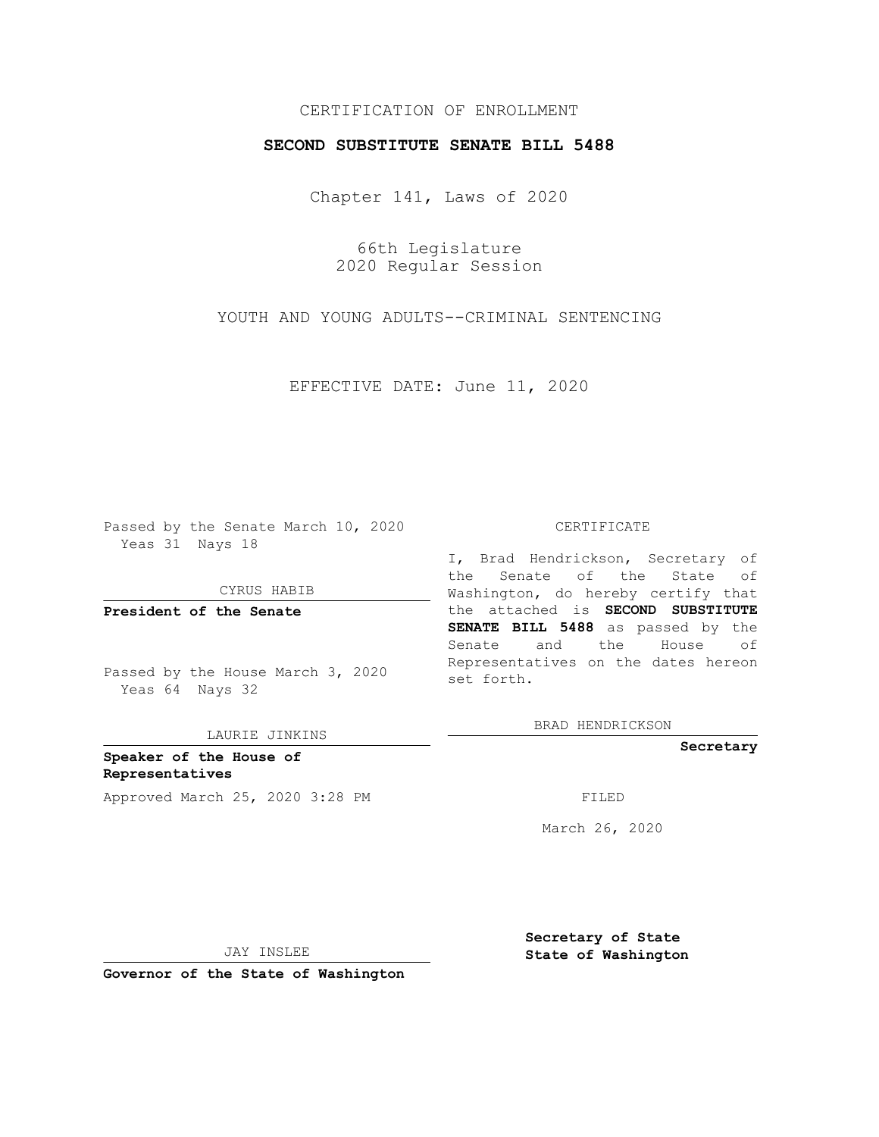# CERTIFICATION OF ENROLLMENT

## **SECOND SUBSTITUTE SENATE BILL 5488**

Chapter 141, Laws of 2020

66th Legislature 2020 Regular Session

YOUTH AND YOUNG ADULTS--CRIMINAL SENTENCING

EFFECTIVE DATE: June 11, 2020

Passed by the Senate March 10, 2020 Yeas 31 Nays 18

CYRUS HABIB

**President of the Senate**

Passed by the House March 3, 2020 Yeas 64 Nays 32

LAURIE JINKINS

**Speaker of the House of Representatives** Approved March 25, 2020 3:28 PM

#### CERTIFICATE

I, Brad Hendrickson, Secretary of the Senate of the State of Washington, do hereby certify that the attached is **SECOND SUBSTITUTE SENATE BILL 5488** as passed by the Senate and the House of Representatives on the dates hereon set forth.

BRAD HENDRICKSON

**Secretary**

March 26, 2020

JAY INSLEE

**Secretary of State State of Washington**

**Governor of the State of Washington**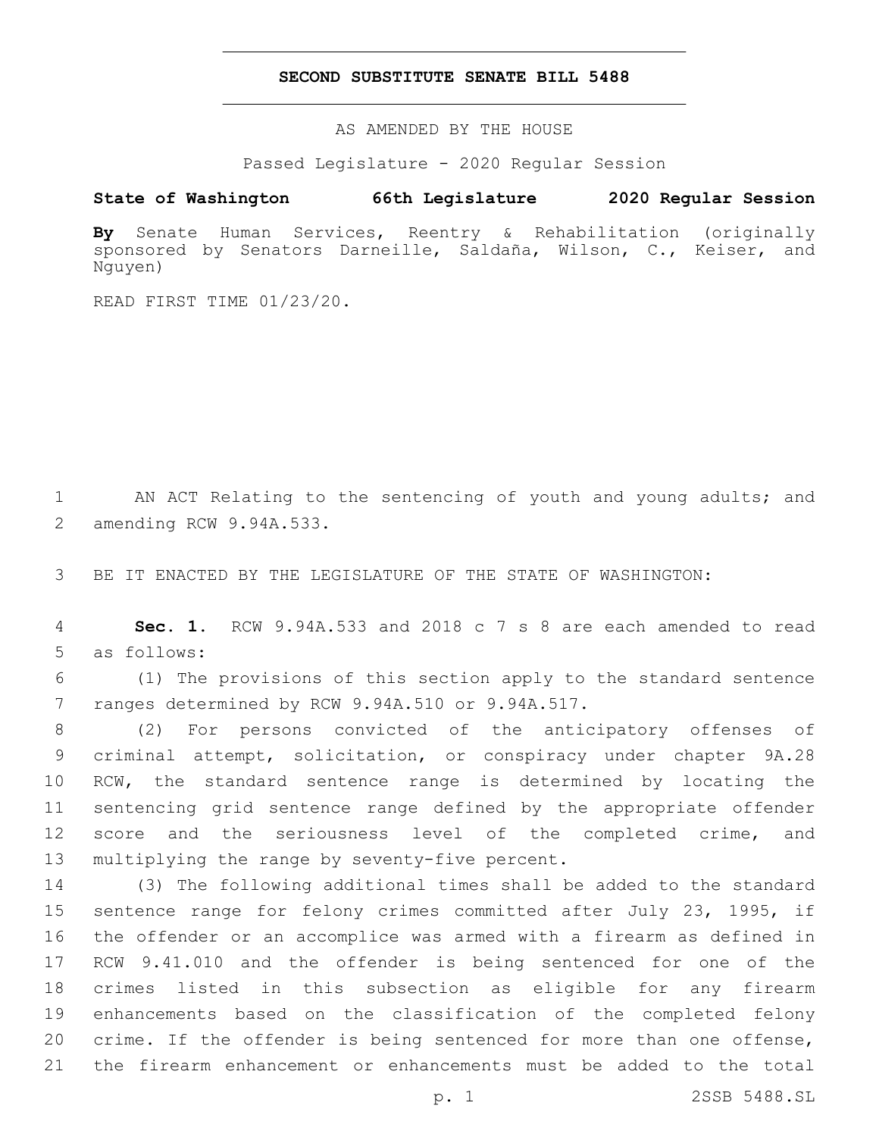## **SECOND SUBSTITUTE SENATE BILL 5488**

AS AMENDED BY THE HOUSE

Passed Legislature - 2020 Regular Session

# **State of Washington 66th Legislature 2020 Regular Session**

**By** Senate Human Services, Reentry & Rehabilitation (originally sponsored by Senators Darneille, Saldaña, Wilson, C., Keiser, and Nguyen)

READ FIRST TIME 01/23/20.

1 AN ACT Relating to the sentencing of youth and young adults; and 2 amending RCW 9.94A.533.

3 BE IT ENACTED BY THE LEGISLATURE OF THE STATE OF WASHINGTON:

4 **Sec. 1.** RCW 9.94A.533 and 2018 c 7 s 8 are each amended to read 5 as follows:

6 (1) The provisions of this section apply to the standard sentence 7 ranges determined by RCW 9.94A.510 or 9.94A.517.

 (2) For persons convicted of the anticipatory offenses of criminal attempt, solicitation, or conspiracy under chapter 9A.28 RCW, the standard sentence range is determined by locating the sentencing grid sentence range defined by the appropriate offender 12 score and the seriousness level of the completed crime, and 13 multiplying the range by seventy-five percent.

 (3) The following additional times shall be added to the standard sentence range for felony crimes committed after July 23, 1995, if the offender or an accomplice was armed with a firearm as defined in RCW 9.41.010 and the offender is being sentenced for one of the crimes listed in this subsection as eligible for any firearm enhancements based on the classification of the completed felony crime. If the offender is being sentenced for more than one offense, the firearm enhancement or enhancements must be added to the total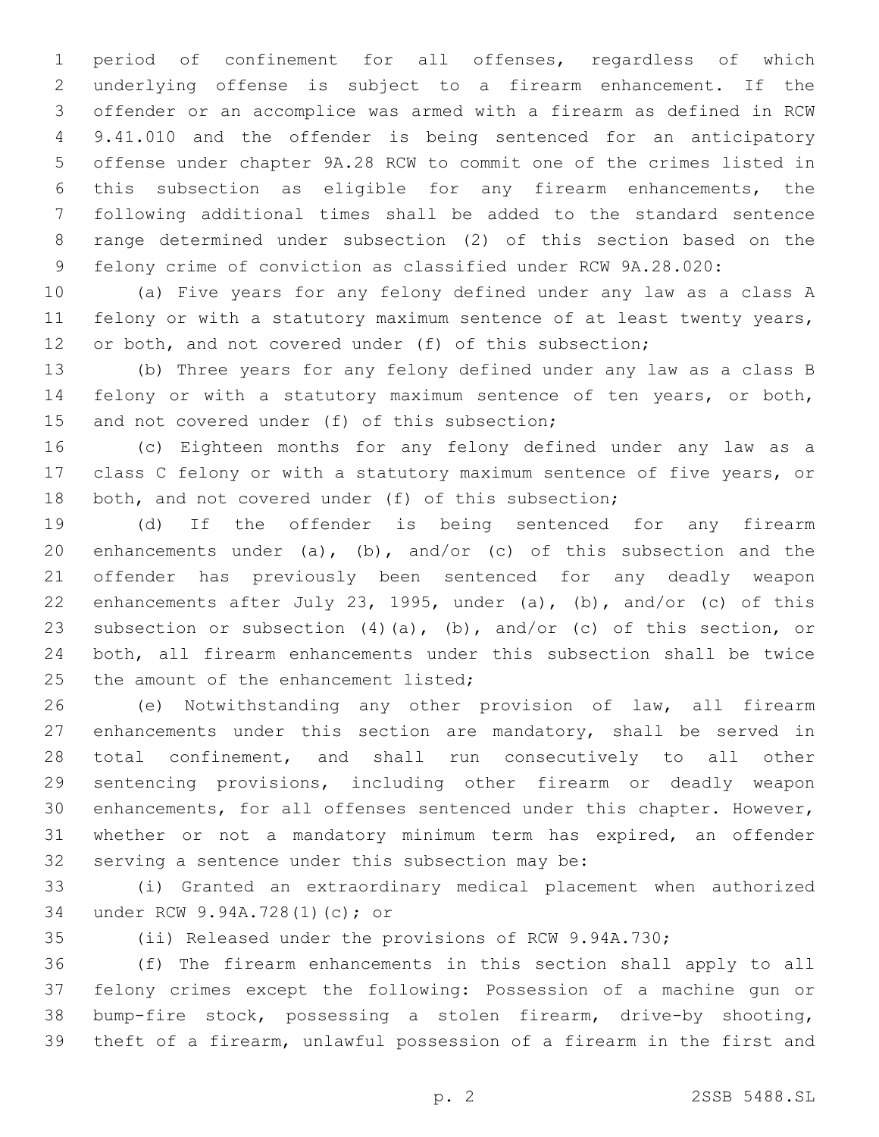period of confinement for all offenses, regardless of which underlying offense is subject to a firearm enhancement. If the offender or an accomplice was armed with a firearm as defined in RCW 9.41.010 and the offender is being sentenced for an anticipatory offense under chapter 9A.28 RCW to commit one of the crimes listed in this subsection as eligible for any firearm enhancements, the following additional times shall be added to the standard sentence range determined under subsection (2) of this section based on the felony crime of conviction as classified under RCW 9A.28.020:

 (a) Five years for any felony defined under any law as a class A felony or with a statutory maximum sentence of at least twenty years, 12 or both, and not covered under (f) of this subsection;

 (b) Three years for any felony defined under any law as a class B felony or with a statutory maximum sentence of ten years, or both, 15 and not covered under (f) of this subsection;

 (c) Eighteen months for any felony defined under any law as a class C felony or with a statutory maximum sentence of five years, or 18 both, and not covered under (f) of this subsection;

 (d) If the offender is being sentenced for any firearm 20 enhancements under (a), (b), and/or (c) of this subsection and the offender has previously been sentenced for any deadly weapon enhancements after July 23, 1995, under (a), (b), and/or (c) of this subsection or subsection (4)(a), (b), and/or (c) of this section, or both, all firearm enhancements under this subsection shall be twice 25 the amount of the enhancement listed;

 (e) Notwithstanding any other provision of law, all firearm enhancements under this section are mandatory, shall be served in total confinement, and shall run consecutively to all other sentencing provisions, including other firearm or deadly weapon enhancements, for all offenses sentenced under this chapter. However, whether or not a mandatory minimum term has expired, an offender 32 serving a sentence under this subsection may be:

 (i) Granted an extraordinary medical placement when authorized under RCW 9.94A.728(1)(c); or34

(ii) Released under the provisions of RCW 9.94A.730;

 (f) The firearm enhancements in this section shall apply to all felony crimes except the following: Possession of a machine gun or bump-fire stock, possessing a stolen firearm, drive-by shooting, theft of a firearm, unlawful possession of a firearm in the first and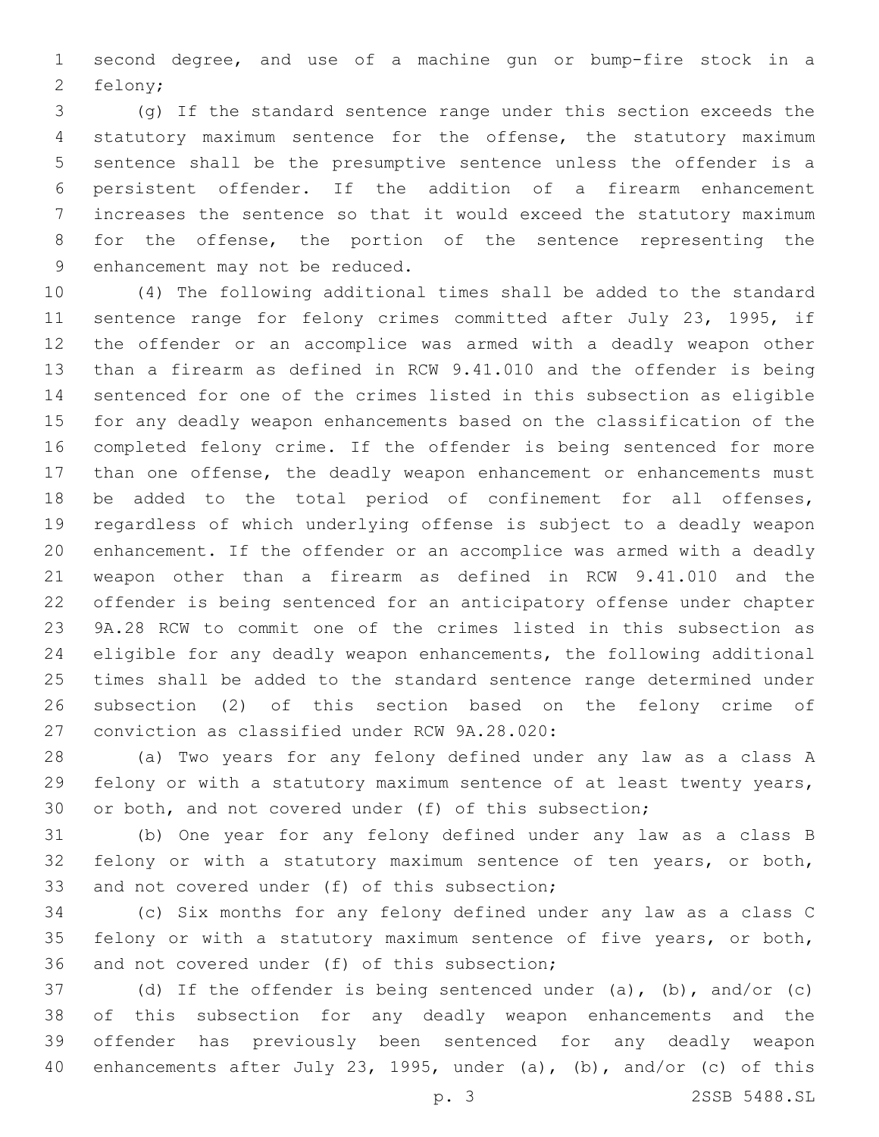second degree, and use of a machine gun or bump-fire stock in a 2 felony;

 (g) If the standard sentence range under this section exceeds the statutory maximum sentence for the offense, the statutory maximum sentence shall be the presumptive sentence unless the offender is a persistent offender. If the addition of a firearm enhancement increases the sentence so that it would exceed the statutory maximum for the offense, the portion of the sentence representing the 9 enhancement may not be reduced.

 (4) The following additional times shall be added to the standard sentence range for felony crimes committed after July 23, 1995, if the offender or an accomplice was armed with a deadly weapon other than a firearm as defined in RCW 9.41.010 and the offender is being sentenced for one of the crimes listed in this subsection as eligible for any deadly weapon enhancements based on the classification of the completed felony crime. If the offender is being sentenced for more than one offense, the deadly weapon enhancement or enhancements must be added to the total period of confinement for all offenses, regardless of which underlying offense is subject to a deadly weapon enhancement. If the offender or an accomplice was armed with a deadly weapon other than a firearm as defined in RCW 9.41.010 and the offender is being sentenced for an anticipatory offense under chapter 9A.28 RCW to commit one of the crimes listed in this subsection as eligible for any deadly weapon enhancements, the following additional times shall be added to the standard sentence range determined under subsection (2) of this section based on the felony crime of 27 conviction as classified under RCW 9A.28.020:

 (a) Two years for any felony defined under any law as a class A felony or with a statutory maximum sentence of at least twenty years, or both, and not covered under (f) of this subsection;

 (b) One year for any felony defined under any law as a class B felony or with a statutory maximum sentence of ten years, or both, 33 and not covered under (f) of this subsection;

 (c) Six months for any felony defined under any law as a class C felony or with a statutory maximum sentence of five years, or both, 36 and not covered under (f) of this subsection;

 (d) If the offender is being sentenced under (a), (b), and/or (c) of this subsection for any deadly weapon enhancements and the offender has previously been sentenced for any deadly weapon enhancements after July 23, 1995, under (a), (b), and/or (c) of this

p. 3 2SSB 5488.SL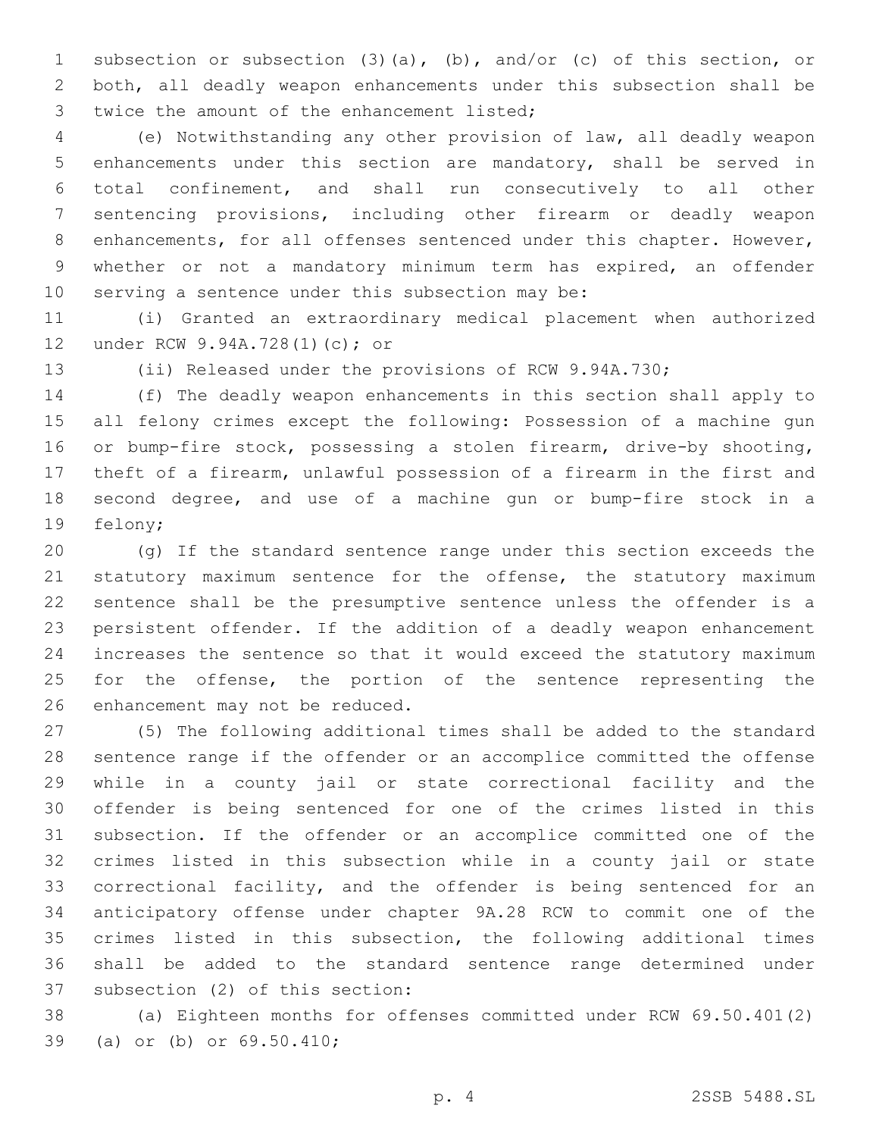subsection or subsection (3)(a), (b), and/or (c) of this section, or both, all deadly weapon enhancements under this subsection shall be 3 twice the amount of the enhancement listed;

 (e) Notwithstanding any other provision of law, all deadly weapon enhancements under this section are mandatory, shall be served in total confinement, and shall run consecutively to all other sentencing provisions, including other firearm or deadly weapon 8 enhancements, for all offenses sentenced under this chapter. However, whether or not a mandatory minimum term has expired, an offender serving a sentence under this subsection may be:

 (i) Granted an extraordinary medical placement when authorized 12 under RCW 9.94A.728(1)(c); or

(ii) Released under the provisions of RCW 9.94A.730;

 (f) The deadly weapon enhancements in this section shall apply to all felony crimes except the following: Possession of a machine gun or bump-fire stock, possessing a stolen firearm, drive-by shooting, theft of a firearm, unlawful possession of a firearm in the first and second degree, and use of a machine gun or bump-fire stock in a 19 felony;

 (g) If the standard sentence range under this section exceeds the 21 statutory maximum sentence for the offense, the statutory maximum sentence shall be the presumptive sentence unless the offender is a persistent offender. If the addition of a deadly weapon enhancement increases the sentence so that it would exceed the statutory maximum 25 for the offense, the portion of the sentence representing the 26 enhancement may not be reduced.

 (5) The following additional times shall be added to the standard sentence range if the offender or an accomplice committed the offense while in a county jail or state correctional facility and the offender is being sentenced for one of the crimes listed in this subsection. If the offender or an accomplice committed one of the crimes listed in this subsection while in a county jail or state correctional facility, and the offender is being sentenced for an anticipatory offense under chapter 9A.28 RCW to commit one of the crimes listed in this subsection, the following additional times shall be added to the standard sentence range determined under 37 subsection (2) of this section:

 (a) Eighteen months for offenses committed under RCW 69.50.401(2) 39 (a) or (b) or 69.50.410;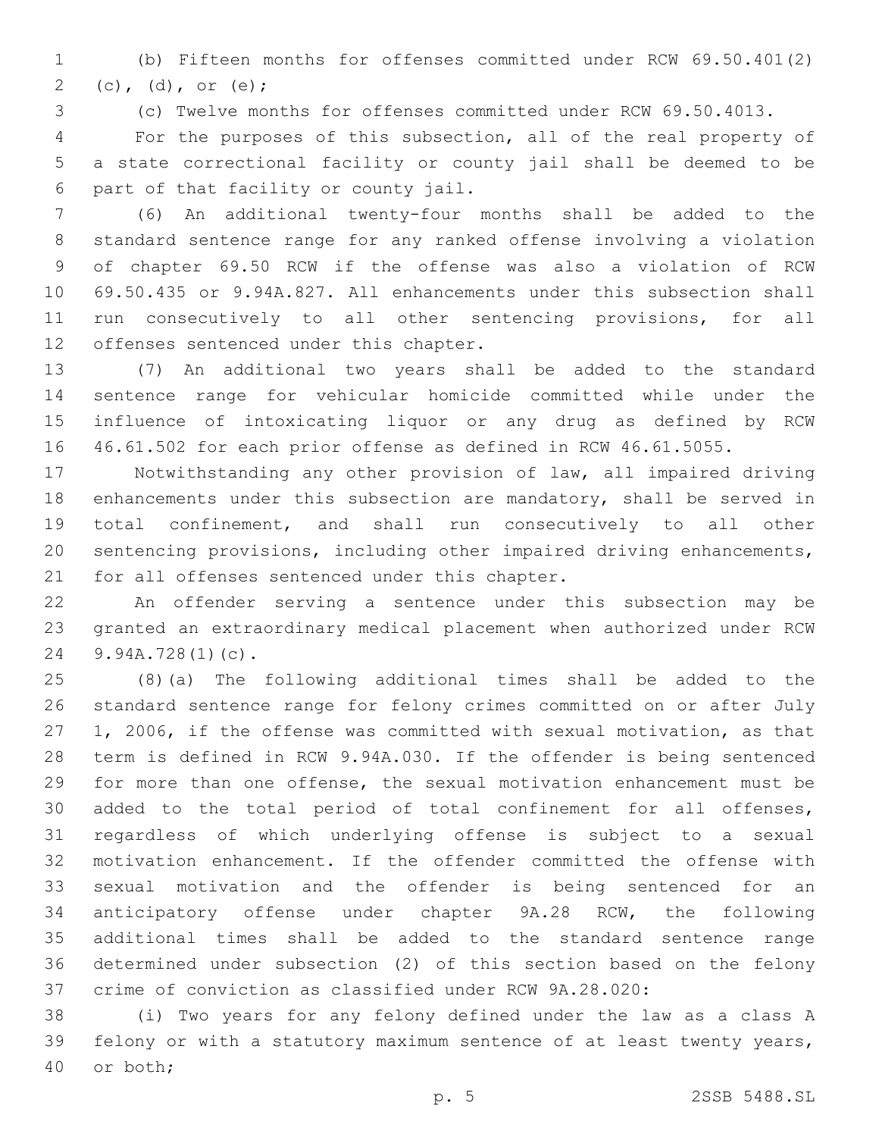(b) Fifteen months for offenses committed under RCW 69.50.401(2) 2 (c), (d), or (e);

(c) Twelve months for offenses committed under RCW 69.50.4013.

 For the purposes of this subsection, all of the real property of a state correctional facility or county jail shall be deemed to be part of that facility or county jail.6

 (6) An additional twenty-four months shall be added to the standard sentence range for any ranked offense involving a violation of chapter 69.50 RCW if the offense was also a violation of RCW 69.50.435 or 9.94A.827. All enhancements under this subsection shall run consecutively to all other sentencing provisions, for all 12 offenses sentenced under this chapter.

 (7) An additional two years shall be added to the standard sentence range for vehicular homicide committed while under the influence of intoxicating liquor or any drug as defined by RCW 46.61.502 for each prior offense as defined in RCW 46.61.5055.

 Notwithstanding any other provision of law, all impaired driving enhancements under this subsection are mandatory, shall be served in total confinement, and shall run consecutively to all other sentencing provisions, including other impaired driving enhancements, 21 for all offenses sentenced under this chapter.

 An offender serving a sentence under this subsection may be granted an extraordinary medical placement when authorized under RCW 24 9.94A.728(1)(c).

 (8)(a) The following additional times shall be added to the standard sentence range for felony crimes committed on or after July 1, 2006, if the offense was committed with sexual motivation, as that term is defined in RCW 9.94A.030. If the offender is being sentenced for more than one offense, the sexual motivation enhancement must be added to the total period of total confinement for all offenses, regardless of which underlying offense is subject to a sexual motivation enhancement. If the offender committed the offense with sexual motivation and the offender is being sentenced for an anticipatory offense under chapter 9A.28 RCW, the following additional times shall be added to the standard sentence range determined under subsection (2) of this section based on the felony crime of conviction as classified under RCW 9A.28.020:

 (i) Two years for any felony defined under the law as a class A felony or with a statutory maximum sentence of at least twenty years, 40 or both;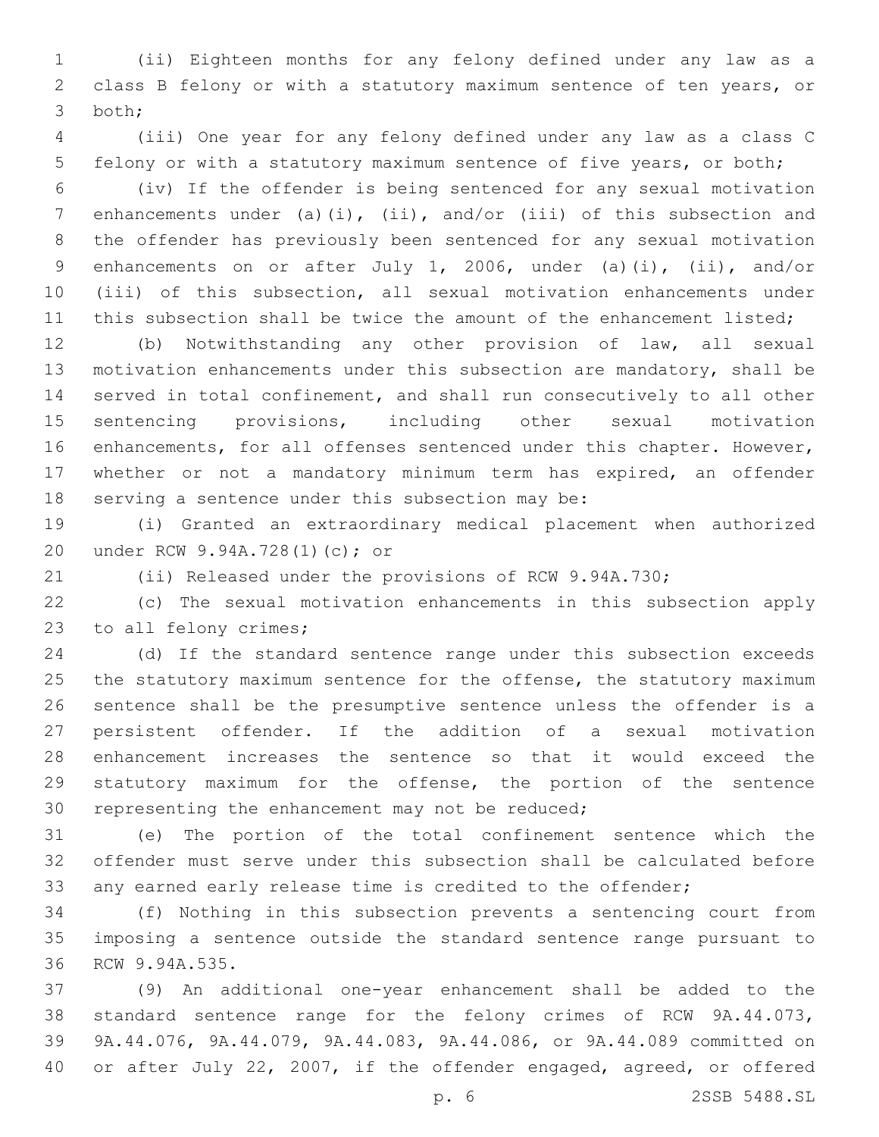(ii) Eighteen months for any felony defined under any law as a class B felony or with a statutory maximum sentence of ten years, or 3 both;

 (iii) One year for any felony defined under any law as a class C felony or with a statutory maximum sentence of five years, or both;

 (iv) If the offender is being sentenced for any sexual motivation enhancements under (a)(i), (ii), and/or (iii) of this subsection and the offender has previously been sentenced for any sexual motivation enhancements on or after July 1, 2006, under (a)(i), (ii), and/or (iii) of this subsection, all sexual motivation enhancements under 11 this subsection shall be twice the amount of the enhancement listed;

 (b) Notwithstanding any other provision of law, all sexual motivation enhancements under this subsection are mandatory, shall be served in total confinement, and shall run consecutively to all other sentencing provisions, including other sexual motivation enhancements, for all offenses sentenced under this chapter. However, whether or not a mandatory minimum term has expired, an offender 18 serving a sentence under this subsection may be:

 (i) Granted an extraordinary medical placement when authorized under RCW 9.94A.728(1)(c); or20

(ii) Released under the provisions of RCW 9.94A.730;

 (c) The sexual motivation enhancements in this subsection apply 23 to all felony crimes;

 (d) If the standard sentence range under this subsection exceeds 25 the statutory maximum sentence for the offense, the statutory maximum sentence shall be the presumptive sentence unless the offender is a persistent offender. If the addition of a sexual motivation enhancement increases the sentence so that it would exceed the statutory maximum for the offense, the portion of the sentence 30 representing the enhancement may not be reduced;

 (e) The portion of the total confinement sentence which the offender must serve under this subsection shall be calculated before any earned early release time is credited to the offender;

 (f) Nothing in this subsection prevents a sentencing court from imposing a sentence outside the standard sentence range pursuant to 36 RCW 9.94A.535.

 (9) An additional one-year enhancement shall be added to the standard sentence range for the felony crimes of RCW 9A.44.073, 9A.44.076, 9A.44.079, 9A.44.083, 9A.44.086, or 9A.44.089 committed on or after July 22, 2007, if the offender engaged, agreed, or offered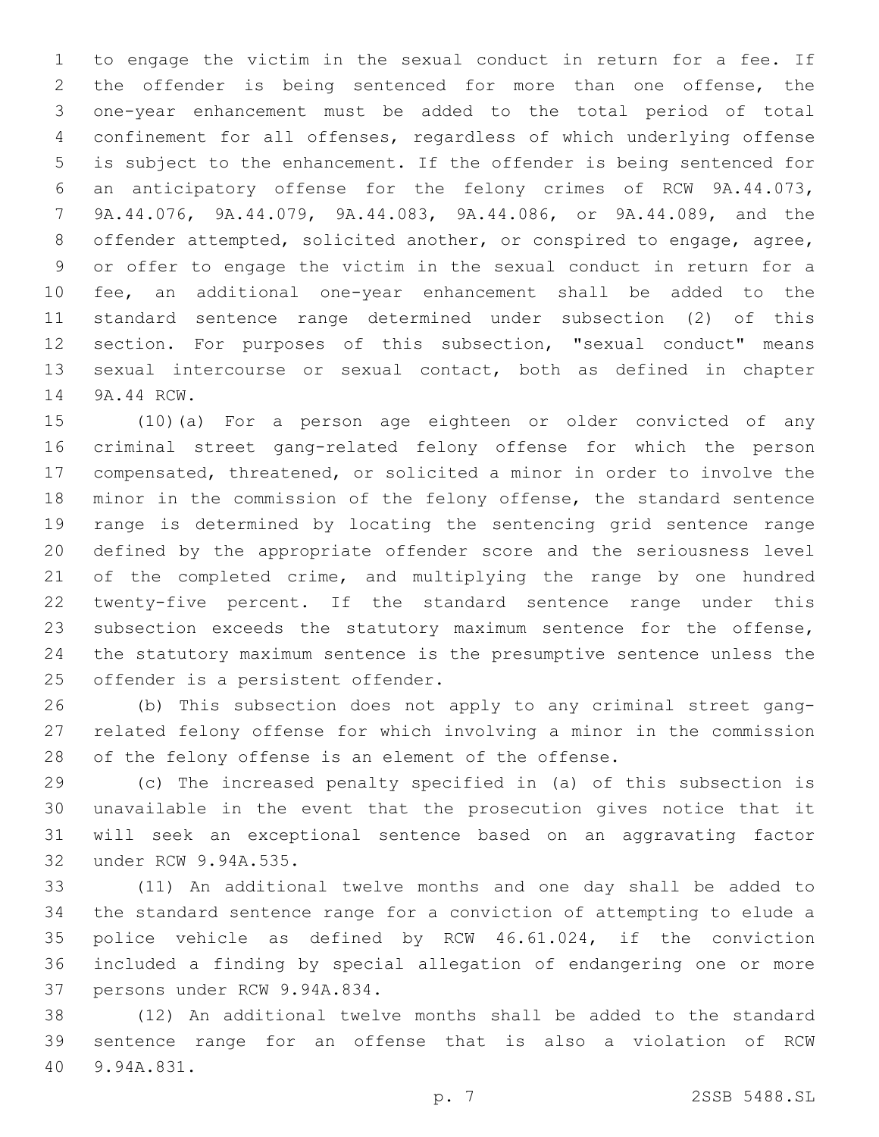to engage the victim in the sexual conduct in return for a fee. If the offender is being sentenced for more than one offense, the one-year enhancement must be added to the total period of total confinement for all offenses, regardless of which underlying offense is subject to the enhancement. If the offender is being sentenced for an anticipatory offense for the felony crimes of RCW 9A.44.073, 9A.44.076, 9A.44.079, 9A.44.083, 9A.44.086, or 9A.44.089, and the offender attempted, solicited another, or conspired to engage, agree, or offer to engage the victim in the sexual conduct in return for a fee, an additional one-year enhancement shall be added to the standard sentence range determined under subsection (2) of this section. For purposes of this subsection, "sexual conduct" means sexual intercourse or sexual contact, both as defined in chapter 14 9A.44 RCW.

 (10)(a) For a person age eighteen or older convicted of any criminal street gang-related felony offense for which the person compensated, threatened, or solicited a minor in order to involve the minor in the commission of the felony offense, the standard sentence range is determined by locating the sentencing grid sentence range defined by the appropriate offender score and the seriousness level 21 of the completed crime, and multiplying the range by one hundred twenty-five percent. If the standard sentence range under this subsection exceeds the statutory maximum sentence for the offense, the statutory maximum sentence is the presumptive sentence unless the 25 offender is a persistent offender.

 (b) This subsection does not apply to any criminal street gang- related felony offense for which involving a minor in the commission of the felony offense is an element of the offense.

 (c) The increased penalty specified in (a) of this subsection is unavailable in the event that the prosecution gives notice that it will seek an exceptional sentence based on an aggravating factor 32 under RCW 9.94A.535.

 (11) An additional twelve months and one day shall be added to the standard sentence range for a conviction of attempting to elude a police vehicle as defined by RCW 46.61.024, if the conviction included a finding by special allegation of endangering one or more 37 persons under RCW 9.94A.834.

 (12) An additional twelve months shall be added to the standard sentence range for an offense that is also a violation of RCW 9.94A.831.40